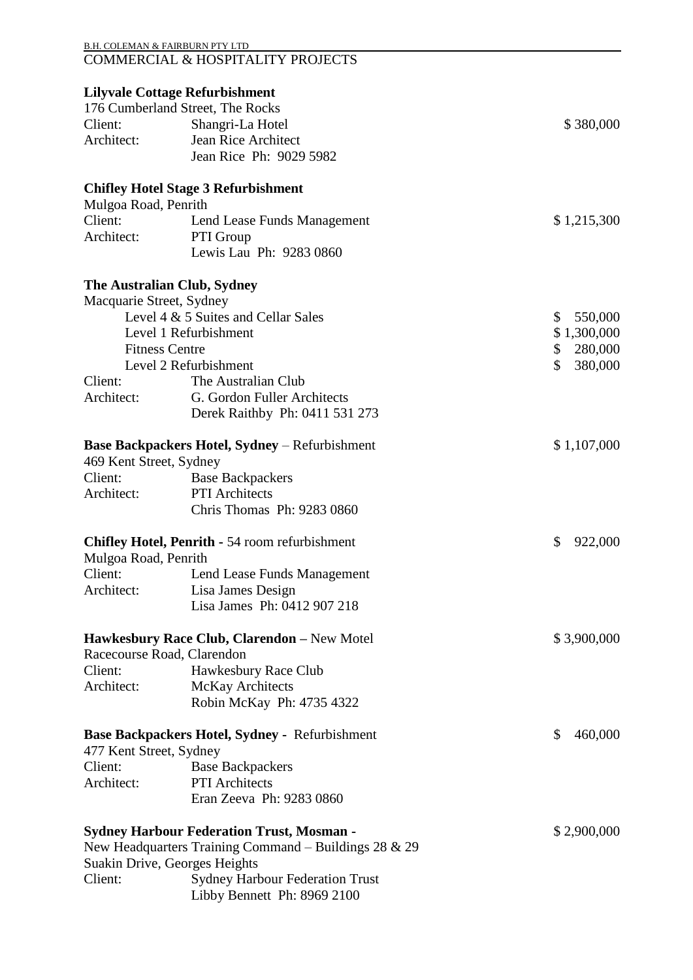|                                                                           | <b>B.H. COLEMAN &amp; FAIRBURN PTY LTD</b><br>COMMERCIAL & HOSPITALITY PROJECTS |               |
|---------------------------------------------------------------------------|---------------------------------------------------------------------------------|---------------|
|                                                                           | <b>Lilyvale Cottage Refurbishment</b>                                           |               |
|                                                                           | 176 Cumberland Street, The Rocks                                                |               |
| Client:                                                                   | Shangri-La Hotel                                                                | \$380,000     |
| Architect:                                                                | Jean Rice Architect                                                             |               |
|                                                                           | Jean Rice Ph: 9029 5982                                                         |               |
|                                                                           | <b>Chifley Hotel Stage 3 Refurbishment</b>                                      |               |
| Mulgoa Road, Penrith                                                      |                                                                                 |               |
| Client:                                                                   | Lend Lease Funds Management                                                     | \$1,215,300   |
| Architect:                                                                | PTI Group                                                                       |               |
|                                                                           | Lewis Lau Ph: 9283 0860                                                         |               |
|                                                                           | The Australian Club, Sydney                                                     |               |
| Macquarie Street, Sydney                                                  |                                                                                 |               |
|                                                                           | Level 4 & 5 Suites and Cellar Sales                                             | \$<br>550,000 |
|                                                                           | Level 1 Refurbishment                                                           | \$1,300,000   |
|                                                                           | <b>Fitness Centre</b>                                                           | 280,000<br>\$ |
|                                                                           | Level 2 Refurbishment                                                           | \$<br>380,000 |
| Client:                                                                   | The Australian Club                                                             |               |
| Architect:                                                                | G. Gordon Fuller Architects                                                     |               |
|                                                                           | Derek Raithby Ph: 0411 531 273                                                  |               |
| 469 Kent Street, Sydney                                                   | <b>Base Backpackers Hotel, Sydney - Refurbishment</b>                           | \$1,107,000   |
| Client:                                                                   | <b>Base Backpackers</b>                                                         |               |
| Architect:                                                                | <b>PTI</b> Architects                                                           |               |
|                                                                           | Chris Thomas Ph: 9283 0860                                                      |               |
| Mulgoa Road, Penrith                                                      | <b>Chifley Hotel, Penrith - 54 room refurbishment</b>                           | \$<br>922,000 |
| Client:                                                                   | Lend Lease Funds Management                                                     |               |
| Architect:                                                                | Lisa James Design                                                               |               |
|                                                                           | Lisa James Ph: 0412 907 218                                                     |               |
|                                                                           | Hawkesbury Race Club, Clarendon - New Motel                                     | \$3,900,000   |
|                                                                           | Racecourse Road, Clarendon                                                      |               |
| Client:                                                                   | Hawkesbury Race Club                                                            |               |
| Architect:                                                                | McKay Architects                                                                |               |
|                                                                           | Robin McKay Ph: 4735 4322                                                       |               |
| Base Backpackers Hotel, Sydney - Refurbishment<br>477 Kent Street, Sydney |                                                                                 | \$<br>460,000 |
| Client:                                                                   | <b>Base Backpackers</b>                                                         |               |
| Architect:                                                                | <b>PTI</b> Architects                                                           |               |
|                                                                           | Eran Zeeva Ph: 9283 0860                                                        |               |
|                                                                           | <b>Sydney Harbour Federation Trust, Mosman -</b>                                | \$2,900,000   |
|                                                                           | New Headquarters Training Command – Buildings 28 & 29                           |               |
|                                                                           | Suakin Drive, Georges Heights                                                   |               |
| Client:                                                                   | <b>Sydney Harbour Federation Trust</b>                                          |               |
|                                                                           | Libby Bennett Ph: 8969 2100                                                     |               |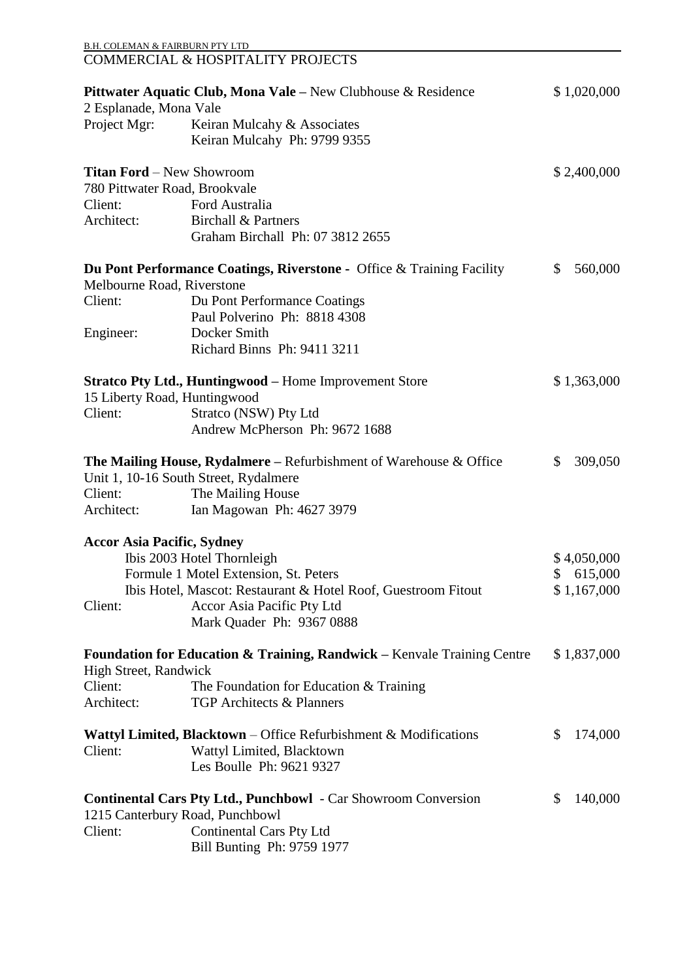| <b>B.H. COLEMAN &amp; FAIRBURN PTY LTD</b> |                                                                                    |                         |
|--------------------------------------------|------------------------------------------------------------------------------------|-------------------------|
|                                            | <b>COMMERCIAL &amp; HOSPITALITY PROJECTS</b>                                       |                         |
|                                            | <b>Pittwater Aquatic Club, Mona Vale</b> – New Clubhouse $\&$ Residence            | \$1,020,000             |
| 2 Esplanade, Mona Vale                     |                                                                                    |                         |
| Project Mgr:                               | Keiran Mulcahy & Associates                                                        |                         |
|                                            | Keiran Mulcahy Ph: 9799 9355                                                       |                         |
| <b>Titan Ford - New Showroom</b>           |                                                                                    | \$2,400,000             |
|                                            | 780 Pittwater Road, Brookvale                                                      |                         |
| Client:                                    | Ford Australia                                                                     |                         |
| Architect:                                 | <b>Birchall &amp; Partners</b>                                                     |                         |
|                                            | Graham Birchall Ph: 07 3812 2655                                                   |                         |
|                                            | <b>Du Pont Performance Coatings, Riverstone -</b> Office & Training Facility       | 560,000<br>$\mathbb{S}$ |
| Melbourne Road, Riverstone                 |                                                                                    |                         |
| Client:                                    | Du Pont Performance Coatings                                                       |                         |
|                                            | Paul Polverino Ph: 8818 4308                                                       |                         |
| Engineer:                                  | Docker Smith                                                                       |                         |
|                                            | Richard Binns Ph: 9411 3211                                                        |                         |
|                                            | <b>Stratco Pty Ltd., Huntingwood - Home Improvement Store</b>                      | \$1,363,000             |
|                                            | 15 Liberty Road, Huntingwood                                                       |                         |
| Client:                                    | Stratco (NSW) Pty Ltd                                                              |                         |
|                                            | Andrew McPherson Ph: 9672 1688                                                     |                         |
|                                            | <b>The Mailing House, Rydalmere</b> – Refurbishment of Warehouse $\&$ Office       | 309,050<br>$\mathbb{S}$ |
|                                            | Unit 1, 10-16 South Street, Rydalmere                                              |                         |
| Client:                                    | The Mailing House                                                                  |                         |
| Architect:                                 | Ian Magowan Ph: 4627 3979                                                          |                         |
| <b>Accor Asia Pacific, Sydney</b>          |                                                                                    |                         |
|                                            | Ibis 2003 Hotel Thornleigh                                                         | \$4,050,000             |
|                                            | Formule 1 Motel Extension, St. Peters                                              | \$615,000               |
|                                            | Ibis Hotel, Mascot: Restaurant & Hotel Roof, Guestroom Fitout                      | \$1,167,000             |
| Client:                                    | Accor Asia Pacific Pty Ltd                                                         |                         |
|                                            | Mark Quader Ph: 9367 0888                                                          |                         |
|                                            | <b>Foundation for Education &amp; Training, Randwick – Kenvale Training Centre</b> | \$1,837,000             |
| <b>High Street, Randwick</b>               |                                                                                    |                         |
| Client:                                    | The Foundation for Education $&$ Training                                          |                         |
| Architect:                                 | <b>TGP Architects &amp; Planners</b>                                               |                         |
|                                            | Wattyl Limited, Blacktown – Office Refurbishment & Modifications                   | 174,000<br>\$           |
| Client:                                    | Wattyl Limited, Blacktown                                                          |                         |
|                                            | Les Boulle Ph: 9621 9327                                                           |                         |
|                                            | <b>Continental Cars Pty Ltd., Punchbowl</b> - Car Showroom Conversion              | \$<br>140,000           |
|                                            | 1215 Canterbury Road, Punchbowl                                                    |                         |
| Client:                                    | <b>Continental Cars Pty Ltd</b>                                                    |                         |
|                                            | Bill Bunting Ph: 9759 1977                                                         |                         |